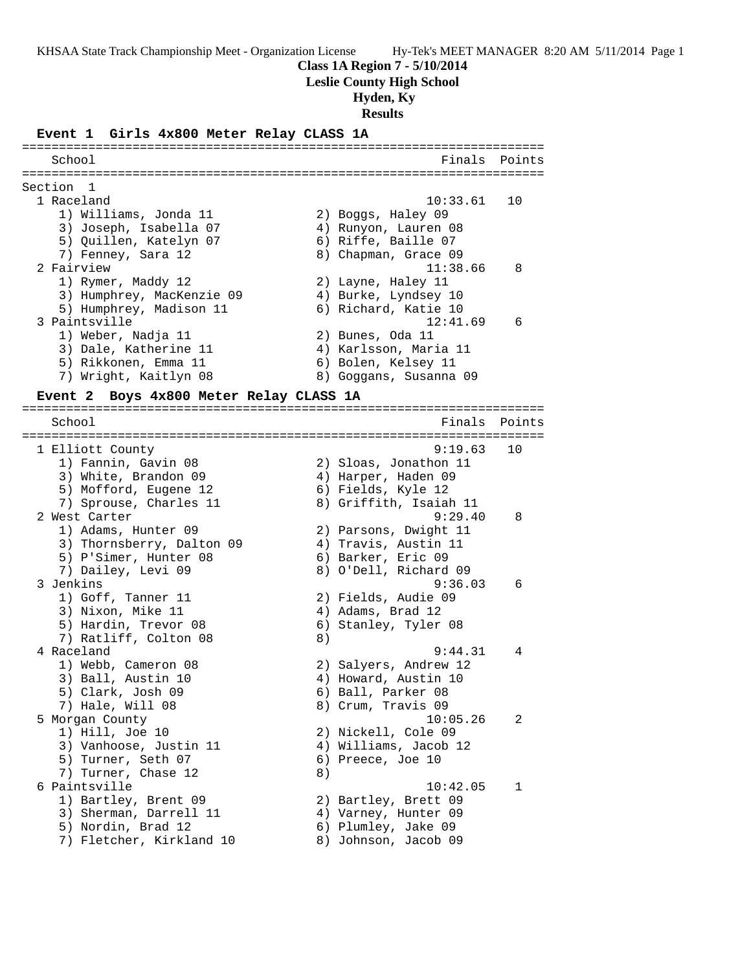**Class 1A Region 7 - 5/10/2014**

**Leslie County High School**

## **Hyden, Ky**

**Results**

#### **Event 1 Girls 4x800 Meter Relay CLASS 1A**

======================================================================= School **Finals** Points ======================================================================= Section 1 1 Raceland 10:33.61 10 1) Williams, Jonda 11 2) Boggs, Haley 09 3) Joseph, Isabella 07 4) Runyon, Lauren 08 5) Quillen, Katelyn 07 (6) Riffe, Baille 07 7) Fenney, Sara 12 and 8) Chapman, Grace 09 2 Fairview 11:38.66 8 1) Rymer, Maddy 12 2) Layne, Haley 11 3) Humphrey, MacKenzie 09 4) Burke, Lyndsey 10 5) Humphrey, Madison 11  $\qquad \qquad$  6) Richard, Katie 10 3 Paintsville 12:41.69 6 1) Weber, Nadja 11 2) Bunes, Oda 11 3) Dale, Katherine 11 4) Karlsson, Maria 11 5) Rikkonen, Emma 11  $\qquad \qquad$  6) Bolen, Kelsey 11 7) Wright, Kaitlyn 08 8) Goggans, Susanna 09

=======================================================================

#### **Event 2 Boys 4x800 Meter Relay CLASS 1A**

School **Finals** Points **Points** ======================================================================= 1 Elliott County 9:19.63 10 1) Fannin, Gavin 08 2) Sloas, Jonathon 11 3) White, Brandon 09 4) Harper, Haden 09 5) Mofford, Eugene 12 (6) Fields, Kyle 12 7) Sprouse, Charles 11 8) Griffith, Isaiah 11 2 West Carter 9:29.40 8 1) Adams, Hunter 09 2) Parsons, Dwight 11 3) Thornsberry, Dalton 09 (4) Travis, Austin 11 5) P'Simer, Hunter 08 6) Barker, Eric 09 7) Dailey, Levi 09 8) O'Dell, Richard 09 3 Jenkins 9:36.03 6 1) Goff, Tanner 11 2) Fields, Audie 09 3) Nixon, Mike 11 4) Adams, Brad 12 5) Hardin, Trevor 08 (6) Stanley, Tyler 08 7) Ratliff, Colton 08 8) 4 Raceland 9:44.31 4 1) Webb, Cameron 08 2) Salyers, Andrew 12 3) Ball, Austin 10 4) Howard, Austin 10 5) Clark, Josh 09 6) Ball, Parker 08 7) Hale, Will 08 8) Crum, Travis 09 5 Morgan County 10:05.26 2 1) Hill, Joe 10 2) Nickell, Cole 09 3) Vanhoose, Justin 11 4) Williams, Jacob 12 5) Turner, Seth 07 (6) Preece, Joe 10 7) Turner, Chase 12 (8) 6 Paintsville 10:42.05 1 1) Bartley, Brent 09 2) Bartley, Brett 09 3) Sherman, Darrell 11  $\hskip1cm$  4) Varney, Hunter 09 5) Nordin, Brad 12 6) Plumley, Jake 09 7) Fletcher, Kirkland 10 8) Johnson, Jacob 09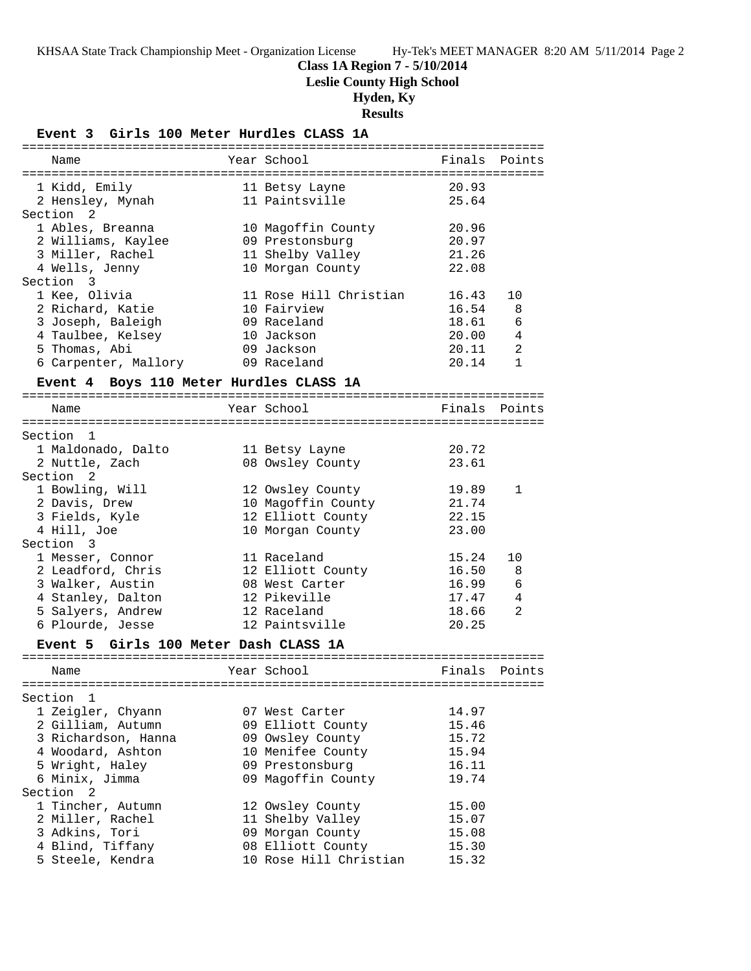**Class 1A Region 7 - 5/10/2014**

**Leslie County High School**

# **Hyden, Ky**

**Results**

## **Event 3 Girls 100 Meter Hurdles CLASS 1A**

|                                         | -==================================== |        |              |
|-----------------------------------------|---------------------------------------|--------|--------------|
| Name                                    | Year School                           | Finals | Points       |
|                                         |                                       |        |              |
| 1 Kidd, Emily                           | 11 Betsy Layne                        | 20.93  |              |
| 2 Hensley, Mynah                        | 11 Paintsville                        | 25.64  |              |
| Section <sub>2</sub>                    |                                       |        |              |
| 1 Ables, Breanna                        | 10 Magoffin County                    | 20.96  |              |
| 2 Williams, Kaylee                      | 09 Prestonsburg                       | 20.97  |              |
| 3 Miller, Rachel                        | 11 Shelby Valley                      | 21.26  |              |
| 4 Wells, Jenny                          | 10 Morgan County                      | 22.08  |              |
| Section<br>3                            |                                       |        |              |
| 1 Kee, Olivia                           | 11 Rose Hill Christian                | 16.43  | 10           |
| 2 Richard, Katie                        | 10 Fairview                           | 16.54  | 8            |
| 3 Joseph, Baleigh                       | 09 Raceland                           | 18.61  | 6            |
| 4 Taulbee, Kelsey                       | 10 Jackson                            | 20.00  | 4            |
| 5 Thomas, Abi                           | 09 Jackson                            | 20.11  | 2            |
| 6 Carpenter, Mallory                    | 09 Raceland                           | 20.14  | $\mathbf{1}$ |
| Event 4 Boys 110 Meter Hurdles CLASS 1A |                                       |        |              |
| Name                                    | Year School                           | Finals | Points       |
|                                         |                                       |        |              |
| Section 1                               |                                       |        |              |
| 1 Maldonado, Dalto                      | 11 Betsy Layne                        | 20.72  |              |
| 2 Nuttle, Zach                          | 08 Owsley County                      | 23.61  |              |
| Section 2                               |                                       |        |              |
| 1 Bowling, Will                         | 12 Owsley County                      | 19.89  | 1            |
| 2 Davis, Drew                           | 10 Magoffin County                    | 21.74  |              |
| 3 Fields, Kyle                          | 12 Elliott County                     | 22.15  |              |
| 4 Hill, Joe                             | 10 Morgan County                      | 23.00  |              |
| Section 3                               |                                       |        |              |
| 1 Messer, Connor                        | 11 Raceland                           | 15.24  | 10           |
| 2 Leadford, Chris                       | 12 Elliott County                     | 16.50  | 8            |
| 3 Walker, Austin                        | 08 West Carter                        | 16.99  | 6            |
| 4 Stanley, Dalton                       | 12 Pikeville                          | 17.47  | 4            |
| 5 Salyers, Andrew                       | 12 Raceland                           | 18.66  | 2            |
| 6 Plourde, Jesse                        | 12 Paintsville                        | 20.25  |              |
| Event 5 Girls 100 Meter Dash CLASS 1A   |                                       |        |              |
|                                         |                                       |        |              |
| Name                                    | Year School                           | Finals | Points       |
|                                         |                                       |        |              |
| Section<br>1<br>1 Zeigler, Chyann       | 07 West Carter                        | 14.97  |              |
|                                         |                                       |        |              |
| 2 Gilliam, Autumn                       | 09 Elliott County                     | 15.46  |              |
| 3 Richardson, Hanna                     | 09 Owsley County                      | 15.72  |              |
| 4 Woodard, Ashton                       | 10 Menifee County                     | 15.94  |              |
| 5 Wright, Haley                         | 09 Prestonsburg                       | 16.11  |              |
| 6 Minix, Jimma                          | 09 Magoffin County                    | 19.74  |              |
| Section <sub>2</sub>                    |                                       |        |              |
| 1 Tincher, Autumn                       | 12 Owsley County                      | 15.00  |              |
| 2 Miller, Rachel                        | 11 Shelby Valley                      | 15.07  |              |
| 3 Adkins, Tori                          | 09 Morgan County                      | 15.08  |              |
| 4 Blind, Tiffany                        | 08 Elliott County                     | 15.30  |              |
| 5 Steele, Kendra                        | 10 Rose Hill Christian                | 15.32  |              |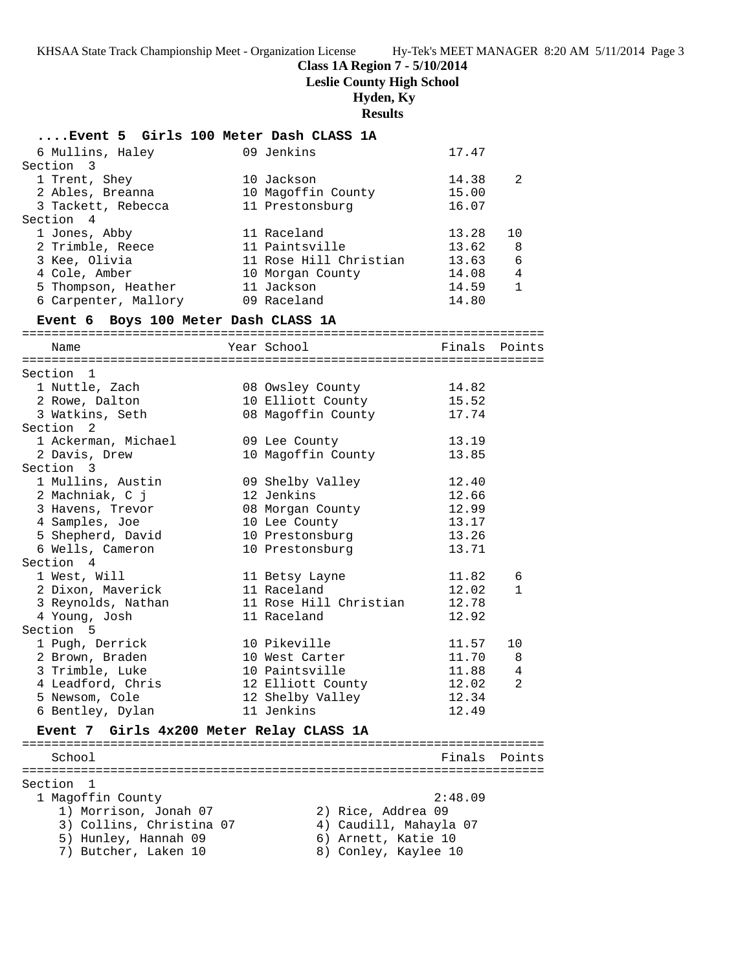**Class 1A Region 7 - 5/10/2014**

**Leslie County High School**

 **Hyden, Ky**

**Results**

| Event 5 Girls 100 Meter Dash CLASS 1A    |                                    |         |              |
|------------------------------------------|------------------------------------|---------|--------------|
| 6 Mullins, Haley                         | 09 Jenkins                         | 17.47   |              |
| Section 3                                |                                    |         |              |
| 1 Trent, Shey                            | 10 Jackson                         | 14.38   | 2            |
| 2 Ables, Breanna                         | 10 Magoffin County                 | 15.00   |              |
| 3 Tackett, Rebecca                       | 11 Prestonsburg                    | 16.07   |              |
| Section 4                                |                                    |         |              |
| 1 Jones, Abby                            | 11 Raceland                        | 13.28   | 10           |
| 2 Trimble, Reece                         | 11 Paintsville                     | 13.62   | 8            |
| 3 Kee, Olivia                            | 11 Rose Hill Christian             | 13.63   | 6            |
| 4 Cole, Amber                            | 10 Morgan County                   | 14.08   | 4            |
| 5 Thompson, Heather                      | 11 Jackson                         | 14.59   | $\mathbf{1}$ |
| 6 Carpenter, Mallory                     | 09 Raceland                        | 14.80   |              |
|                                          |                                    |         |              |
| Event 6 Boys 100 Meter Dash CLASS 1A     |                                    |         |              |
| Name                                     | Year School                        | Finals  | Points       |
| Section 1                                |                                    |         |              |
| 1 Nuttle, Zach                           | 08 Owsley County                   | 14.82   |              |
| 2 Rowe, Dalton                           | 10 Elliott County                  | 15.52   |              |
| 3 Watkins, Seth                          | 08 Magoffin County                 | 17.74   |              |
| Section 2                                |                                    |         |              |
| 1 Ackerman, Michael                      | 09 Lee County                      | 13.19   |              |
| 2 Davis, Drew                            | 10 Magoffin County                 | 13.85   |              |
| Section 3                                |                                    |         |              |
| 1 Mullins, Austin                        | 09 Shelby Valley                   | 12.40   |              |
| 2 Machniak, C j                          | 12 Jenkins                         | 12.66   |              |
| 3 Havens, Trevor                         |                                    | 12.99   |              |
|                                          | 08 Morgan County                   | 13.17   |              |
| 4 Samples, Joe                           | 10 Lee County                      | 13.26   |              |
| 5 Shepherd, David<br>6 Wells, Cameron    | 10 Prestonsburg<br>10 Prestonsburg | 13.71   |              |
| Section 4                                |                                    |         |              |
| 1 West, Will                             |                                    | 11.82   |              |
| 2 Dixon, Maverick                        | 11 Betsy Layne<br>11 Raceland      | 12.02   | 6            |
| 3 Reynolds, Nathan                       | 11 Rose Hill Christian             | 12.78   | 1            |
|                                          |                                    | 12.92   |              |
| 4 Young, Josh<br>Section 5               | 11 Raceland                        |         |              |
|                                          |                                    |         |              |
| 1 Pugh, Derrick                          | 10 Pikeville                       | 11.57   | 10           |
| 2 Brown, Braden                          | 10 West Carter                     | 11.70   | 8            |
| 3 Trimble, Luke                          | 10 Paintsville                     | 11.88   | 4            |
| 4 Leadford, Chris                        | 12 Elliott County                  | 12.02   | 2            |
| 5 Newsom, Cole                           | 12 Shelby Valley                   | 12.34   |              |
| 6 Bentley, Dylan                         | 11 Jenkins                         | 12.49   |              |
| Event 7 Girls 4x200 Meter Relay CLASS 1A |                                    |         |              |
| School                                   |                                    | Finals  | Points       |
|                                          |                                    |         |              |
| Section 1                                |                                    |         |              |
| 1 Magoffin County                        |                                    | 2:48.09 |              |
| 1) Morrison, Jonah 07                    | 2) Rice, Addrea 09                 |         |              |
| 3) Collins, Christina 07                 | 4) Caudill, Mahayla 07             |         |              |
| 5) Hunley, Hannah 09                     | 6) Arnett, Katie 10                |         |              |
| 7) Butcher, Laken 10                     | 8) Conley, Kaylee 10               |         |              |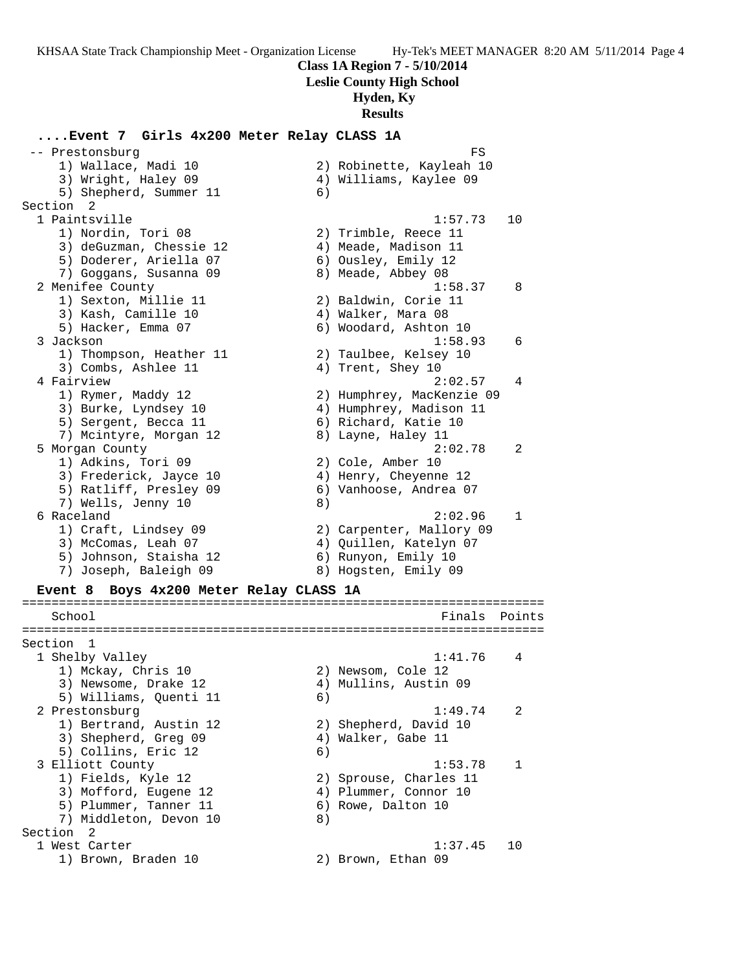**Class 1A Region 7 - 5/10/2014**

**Leslie County High School**

## **Hyden, Ky**

**Results**

## **....Event 7 Girls 4x200 Meter Relay CLASS 1A**

-- Prestonsburg FS and the set of the set of the set of the set of the set of the set of the set of the set of the set of the set of the set of the set of the set of the set of the set of the set of the set of the set of t 1) Wallace, Madi 10 2) Robinette, Kayleah 10 3) Wright, Haley 09 4) Williams, Kaylee 09 5) Shepherd, Summer 11 6) Section 2 1 Paintsville 1:57.73 10 1) Nordin, Tori 08 2) Trimble, Reece 11 3) deGuzman, Chessie 12 (4) Meade, Madison 11 5) Doderer, Ariella 07 (6) Ousley, Emily 12 7) Goggans, Susanna 09 8) Meade, Abbey 08 2 Menifee County 1:58.37 8 1) Sexton, Millie 11 2) Baldwin, Corie 11 3) Kash, Camille 10  $\hskip1cm 4$ ) Walker, Mara 08 5) Hacker, Emma 07 6) Woodard, Ashton 10 3 Jackson 1:58.93 6 1) Thompson, Heather 11 2) Taulbee, Kelsey 10 3) Combs, Ashlee 11 4) Trent, Shey 10 4 Fairview 2:02.57 4 1) Rymer, Maddy 12 2) Humphrey, MacKenzie 09 3) Burke, Lyndsey 10 4) Humphrey, Madison 11 5) Sergent, Becca 11 6) Richard, Katie 10 7) Mcintyre, Morgan 12 8) Layne, Haley 11 5 Morgan County 2:02.78 2 1) Adkins, Tori 09 2) Cole, Amber 10 3) Frederick, Jayce 10 4) Henry, Cheyenne 12 5) Ratliff, Presley 09 6) Vanhoose, Andrea 07 7) Wells, Jenny 10 8) 6 Raceland 2:02.96 1 1) Craft, Lindsey 09 2) Carpenter, Mallory 09 3) McComas, Leah 07 4) Quillen, Katelyn 07 5) Johnson, Staisha 12 6) Runyon, Emily 10 7) Joseph, Baleigh 09 8) Hogsten, Emily 09 **Event 8 Boys 4x200 Meter Relay CLASS 1A** ======================================================================= School Finals Points ======================================================================= Section 1 1 Shelby Valley 1:41.76 4 1) Mckay, Chris 10 2) Newsom, Cole 12 3) Newsome, Drake 12 4) Mullins, Austin 09 5) Williams, Quenti 11 6) 2 Prestonsburg 1:49.74 2 1) Bertrand, Austin 12 2) Shepherd, David 10 3) Shepherd, Greg 09 (4) Walker, Gabe 11 5) Collins, Eric 12 (6)<br>3 Elliott County 3 Elliott County 1:53.78 1 1) Fields, Kyle 12 2) Sprouse, Charles 11 3) Mofford, Eugene 12 4) Plummer, Connor 10 5) Plummer, Tanner 11 6) Rowe, Dalton 10 7) Middleton, Devon 10 8) Section 2 1 West Carter 1:37.45 10 1) Brown, Braden 10 2) Brown, Ethan 09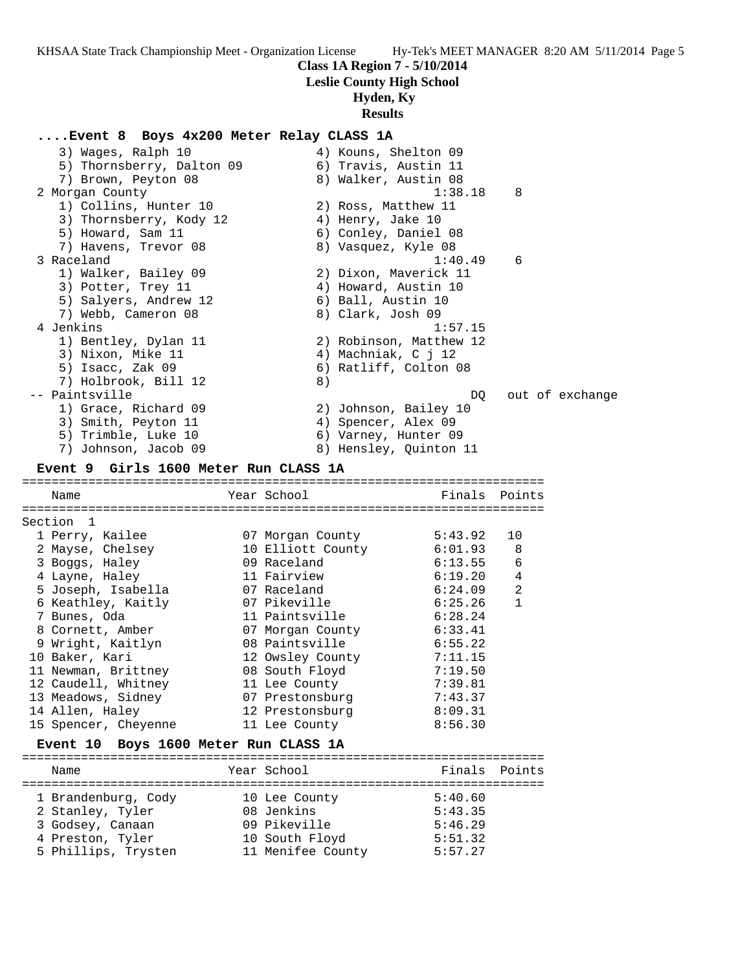**Class 1A Region 7 - 5/10/2014**

**Leslie County High School**

# **Hyden, Ky**

# **Results**

## **....Event 8 Boys 4x200 Meter Relay CLASS 1A**

| 3) Wages, Ralph 10<br>5) Thornsberry, Dalton 09 | 4) Kouns, Shelton 09<br>6) Travis, Austin 11 |                         |        |                 |
|-------------------------------------------------|----------------------------------------------|-------------------------|--------|-----------------|
| 7) Brown, Peyton 08                             | 8) Walker, Austin 08                         |                         |        |                 |
| 2 Morgan County                                 |                                              | 1:38.18                 | 8      |                 |
| 1) Collins, Hunter 10                           | 2) Ross, Matthew 11                          |                         |        |                 |
| 3) Thornsberry, Kody 12                         | 4) Henry, Jake 10                            |                         |        |                 |
| 5) Howard, Sam 11                               | 6) Conley, Daniel 08                         |                         |        |                 |
| 7) Havens, Trevor 08                            | 8) Vasquez, Kyle 08                          |                         |        |                 |
| 3 Raceland                                      |                                              | 1:40.49                 | 6      |                 |
| 1) Walker, Bailey 09                            |                                              | 2) Dixon, Maverick 11   |        |                 |
| 3) Potter, Trey 11                              | 4) Howard, Austin 10                         |                         |        |                 |
| 5) Salyers, Andrew 12                           | 6) Ball, Austin 10                           |                         |        |                 |
| 7) Webb, Cameron 08                             | 8) Clark, Josh 09                            |                         |        |                 |
| 4 Jenkins                                       |                                              | 1:57.15                 |        |                 |
| 1) Bentley, Dylan 11                            |                                              | 2) Robinson, Matthew 12 |        |                 |
| 3) Nixon, Mike 11                               | 4) Machniak, C j 12                          |                         |        |                 |
| 5) Isacc, Zak 09                                |                                              | 6) Ratliff, Colton 08   |        |                 |
| 7) Holbrook, Bill 12                            | 8)                                           |                         |        |                 |
| -- Paintsville                                  |                                              | DQ.                     |        | out of exchange |
| 1) Grace, Richard 09                            |                                              | 2) Johnson, Bailey 10   |        |                 |
| 3) Smith, Peyton 11                             | 4) Spencer, Alex 09                          |                         |        |                 |
| 5) Trimble, Luke 10<br>7) Johnson, Jacob 09     | 6) Varney, Hunter 09                         | 8) Hensley, Quinton 11  |        |                 |
|                                                 |                                              |                         |        |                 |
| Event 9 Girls 1600 Meter Run CLASS 1A           |                                              |                         |        |                 |
| Name                                            | Year School                                  | Finals Points           |        |                 |
|                                                 |                                              |                         |        |                 |
| Section 1                                       |                                              |                         |        |                 |
| 1 Perry, Kailee                                 | 07 Morgan County                             | 5:43.92                 | 10     |                 |
| 2 Mayse, Chelsey                                | 10 Elliott County                            | 6:01.93                 | 8      |                 |
| 3 Boggs, Haley                                  | 09 Raceland                                  | 6:13.55                 | 6      |                 |
| 4 Layne, Haley                                  | 11 Fairview                                  | 6:19.20                 | 4      |                 |
| 5 Joseph, Isabella                              | 07 Raceland                                  | 6:24.09                 | 2      |                 |
| 6 Keathley, Kaitly                              | 07 Pikeville                                 | 6:25.26                 | 1      |                 |
| 7 Bunes, Oda                                    | 11 Paintsville                               | 6:28.24                 |        |                 |
| 8 Cornett, Amber                                | 07 Morgan County                             | 6:33.41                 |        |                 |
| 9 Wright, Kaitlyn                               | 08 Paintsville                               | 6:55.22                 |        |                 |
| 10 Baker, Kari                                  | 12 Owsley County                             | 7:11.15                 |        |                 |
| 11 Newman, Brittney                             | 08 South Floyd                               | 7:19.50                 |        |                 |
| 12 Caudell, Whitney                             | 11 Lee County                                | 7:39.81                 |        |                 |
| 13 Meadows, Sidney                              | 07 Prestonsburg                              | 7:43.37                 |        |                 |
| 14 Allen, Haley                                 | 12 Prestonsburg                              | 8:09.31                 |        |                 |
| 15 Spencer, Cheyenne                            | 11 Lee County                                | 8:56.30                 |        |                 |
| Event 10 Boys 1600 Meter Run CLASS 1A           |                                              |                         |        |                 |
| Name                                            | Year School                                  | Finals                  | Points |                 |
|                                                 | 10 Lee County                                |                         |        |                 |
|                                                 |                                              | 5:40.60                 |        |                 |
| 1 Brandenburg, Cody                             |                                              |                         |        |                 |
| 2 Stanley, Tyler                                | 08 Jenkins                                   | 5:43.35                 |        |                 |
| 3 Godsey, Canaan<br>4 Preston, Tyler            | 09 Pikeville<br>10 South Floyd               | 5:46.29<br>5:51.32      |        |                 |

5 Phillips, Trysten 11 Menifee County 5:57.27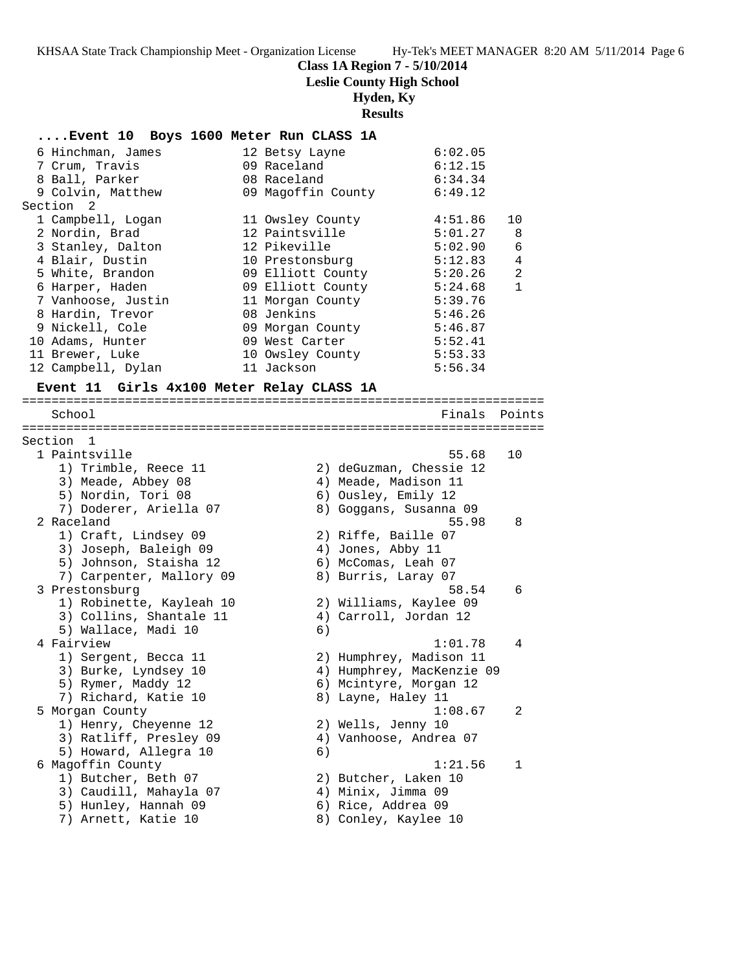**Class 1A Region 7 - 5/10/2014**

**Leslie County High School**

# **Hyden, Ky**

# **Results**

| Event 10 Boys 1600 Meter Run CLASS 1A           |                                                      |                |
|-------------------------------------------------|------------------------------------------------------|----------------|
| 6 Hinchman, James                               | 6:02.05<br>12 Betsy Layne                            |                |
| 7 Crum, Travis                                  | 09 Raceland<br>6:12.15                               |                |
| 8 Ball, Parker                                  | 08 Raceland<br>6:34.34                               |                |
| 9 Colvin, Matthew                               | 09 Magoffin County<br>6:49.12                        |                |
| Section <sub>2</sub>                            |                                                      |                |
| 1 Campbell, Logan                               | 4:51.86<br>11 Owsley County                          | 10             |
| 2 Nordin, Brad                                  | 12 Paintsville<br>5:01.27                            | 8              |
| 3 Stanley, Dalton                               | 12 Pikeville<br>5:02.90                              | 6              |
| 4 Blair, Dustin                                 | 10 Prestonsburg<br>5:12.83                           | $\overline{4}$ |
| 5 White, Brandon                                | 09 Elliott County<br>5:20.26                         | $\overline{a}$ |
| 6 Harper, Haden                                 | 09 Elliott County<br>5:24.68                         | $\mathbf{1}$   |
| 7 Vanhoose, Justin                              | 11 Morgan County<br>5:39.76                          |                |
| 8 Hardin, Trevor                                | 08 Jenkins<br>5:46.26                                |                |
| 9 Nickell, Cole                                 | 09 Morgan County<br>5:46.87                          |                |
| 10 Adams, Hunter                                | 09 West Carter<br>5:52.41                            |                |
| 11 Brewer, Luke                                 | 10 Owsley County<br>5:53.33<br>11 Jackson<br>5:56.34 |                |
| 12 Campbell, Dylan                              |                                                      |                |
| Event 11 Girls 4x100 Meter Relay CLASS 1A       |                                                      |                |
| School                                          | Finals Points                                        |                |
|                                                 |                                                      |                |
| Section 1                                       |                                                      |                |
| 1 Paintsville                                   | 55.68                                                | 10             |
| 1) Trimble, Reece 11                            | 2) deGuzman, Chessie 12                              |                |
| 3) Meade, Abbey 08                              | 4) Meade, Madison 11                                 |                |
| 5) Nordin, Tori 08                              | 6) Ousley, Emily 12                                  |                |
| 7) Doderer, Ariella 07                          | 8) Goggans, Susanna 09                               |                |
| 2 Raceland                                      | 55.98                                                | 8              |
| 1) Craft, Lindsey 09                            | 2) Riffe, Baille 07                                  |                |
| 3) Joseph, Baleigh 09<br>5) Johnson, Staisha 12 | 4) Jones, Abby 11<br>6) McComas, Leah 07             |                |
| 7) Carpenter, Mallory 09                        | 8) Burris, Laray 07                                  |                |
| 3 Prestonsburg                                  | 58.54                                                | 6              |
| 1) Robinette, Kayleah 10                        | 2) Williams, Kaylee 09                               |                |
| 3) Collins, Shantale 11                         | 4) Carroll, Jordan 12                                |                |
| 5) Wallace, Madi 10                             | 6)                                                   |                |
| 4 Fairview                                      | 1:01.78                                              | 4              |
| 1) Sergent, Becca 11                            | 2) Humphrey, Madison 11                              |                |
| 3) Burke, Lyndsey 10                            | 4) Humphrey, MacKenzie 09                            |                |
| 5) Rymer, Maddy 12                              | 6) Mcintyre, Morgan 12                               |                |
| 7) Richard, Katie 10                            | 8) Layne, Haley 11                                   |                |
| 5 Morgan County                                 | 1:08.67                                              | 2              |
| 1) Henry, Cheyenne 12                           | 2) Wells, Jenny 10                                   |                |
| 3) Ratliff, Presley 09                          | 4) Vanhoose, Andrea 07                               |                |
| 5) Howard, Allegra 10                           | 6)                                                   |                |
| 6 Magoffin County                               | 1:21.56                                              | 1              |
| 1) Butcher, Beth 07                             | 2) Butcher, Laken 10                                 |                |
| 3) Caudill, Mahayla 07                          | 4) Minix, Jimma 09                                   |                |
| 5) Hunley, Hannah 09                            | 6) Rice, Addrea 09                                   |                |
| 7) Arnett, Katie 10                             | 8) Conley, Kaylee 10                                 |                |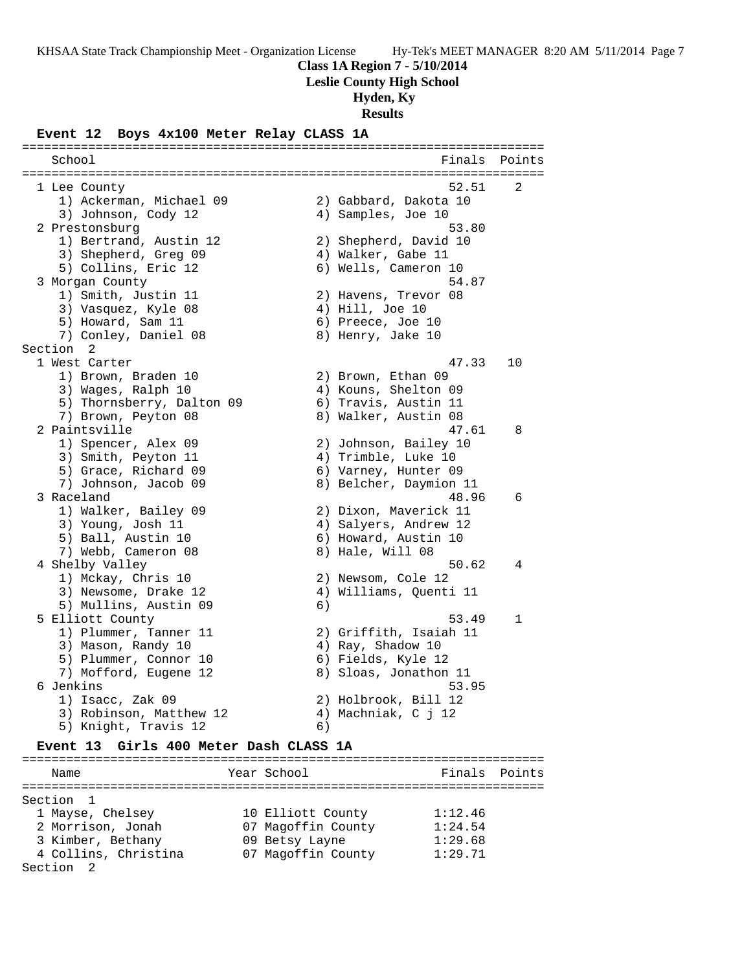**Class 1A Region 7 - 5/10/2014**

**Leslie County High School**

 **Hyden, Ky**

**Results**

### **Event 12 Boys 4x100 Meter Relay CLASS 1A**

School **Finals** Points **Points** ======================================================================= 1 Lee County 52.51 2 1) Ackerman, Michael 09 2) Gabbard, Dakota 10 3) Johnson, Cody 12 4) Samples, Joe 10 2 Prestonsburg 53.80 1) Bertrand, Austin 12 2) Shepherd, David 10 3) Shepherd, Greg 09 (4) Walker, Gabe 11 5) Collins, Eric 12 (6) Wells, Cameron 10 3 Morgan County 54.87 1) Smith, Justin 11 2) Havens, Trevor 08 3) Vasquez, Kyle 08 (4) Hill, Joe 10 5) Howard, Sam 11 6) Preece, Joe 10 7) Conley, Daniel 08 8) Henry, Jake 10 Section 2<br>1 West Carter 1 West Carter 47.33 10 1) Brown, Braden 10 2) Brown, Ethan 09 3) Wages, Ralph 10  $\hskip1cm \hskip1cm 4$ ) Kouns, Shelton 09 5) Thornsberry, Dalton 09 6) Travis, Austin 11 7) Brown, Peyton 08 8) Walker, Austin 08 2 Paintsville 47.61 8 1) Spencer, Alex 09 2) Johnson, Bailey 10 3) Smith, Peyton 11 4) Trimble, Luke 10 5) Grace, Richard 09 6) Varney, Hunter 09 7) Johnson, Jacob 09 8) Belcher, Daymion 11 3 Raceland 48.96 6 1) Walker, Bailey 09 2) Dixon, Maverick 11 3) Young, Josh 11 4) Salyers, Andrew 12 5) Ball, Austin 10 6) Howard, Austin 10 7) Webb, Cameron 08 8) Hale, Will 08 4 Shelby Valley 50.62 4 1) Mckay, Chris 10 2) Newsom, Cole 12 3) Newsome, Drake 12 4) Williams, Quenti 11 5) Mullins, Austin 09 (6) 5 Elliott County 53.49 1 1) Plummer, Tanner 11 2) Griffith, Isaiah 11 3) Mason, Randy 10  $\hskip1cm 4)$  Ray, Shadow 10 5) Plummer, Connor 10 (6) Fields, Kyle 12 7) Mofford, Eugene 12 8) Sloas, Jonathon 11 6 Jenkins 53.95 1) Isacc, Zak 09 2) Holbrook, Bill 12 3) Robinson, Matthew 12 (4) Machniak, C j 12 5) Knight, Travis 12 6)

=======================================================================

#### **Event 13 Girls 400 Meter Dash CLASS 1A**

======================================================================= Name Year School Finals Points ======================================================================= Section 1 1 Mayse, Chelsey 10 Elliott County 1:12.46 2 Morrison, Jonah 07 Magoffin County 1:24.54 3 Kimber, Bethany 09 Betsy Layne 1:29.68 4 Collins, Christina 07 Magoffin County 1:29.71 Section 2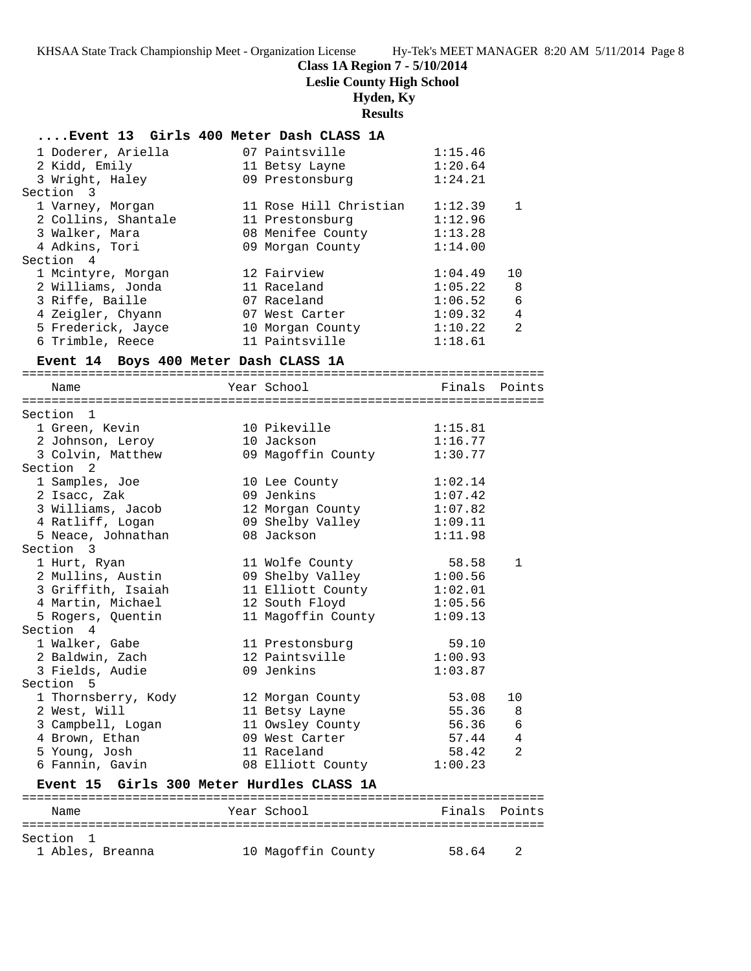# **Class 1A Region 7 - 5/10/2014**

**Leslie County High School**

# **Hyden, Ky**

# **Results**

|                                           | Event 13 Girls 400 Meter Dash CLASS 1A |         |               |
|-------------------------------------------|----------------------------------------|---------|---------------|
| 1 Doderer, Ariella                        | 07 Paintsville                         | 1:15.46 |               |
| 2 Kidd, Emily                             | 11 Betsy Layne                         | 1:20.64 |               |
| 3 Wright, Haley                           | 09 Prestonsburg                        | 1:24.21 |               |
| Section 3                                 |                                        |         |               |
| 1 Varney, Morgan                          | 11 Rose Hill Christian                 | 1:12.39 | $\mathbf 1$   |
| 2 Collins, Shantale                       | 11 Prestonsburg                        | 1:12.96 |               |
| 3 Walker, Mara                            | 08 Menifee County                      | 1:13.28 |               |
| 4 Adkins, Tori                            | 09 Morgan County                       | 1:14.00 |               |
| Section 4                                 |                                        |         |               |
| 1 Mcintyre, Morgan                        | 12 Fairview                            | 1:04.49 | 10            |
| 2 Williams, Jonda                         | 11 Raceland                            | 1:05.22 | 8             |
| 3 Riffe, Baille                           | 07 Raceland                            | 1:06.52 | 6             |
| 4 Zeigler, Chyann                         | 07 West Carter                         | 1:09.32 | 4             |
| 5 Frederick, Jayce                        | 10 Morgan County                       | 1:10.22 | 2             |
| 6 Trimble, Reece                          | 11 Paintsville                         | 1:18.61 |               |
| Event 14 Boys 400 Meter Dash CLASS 1A     |                                        |         |               |
|                                           |                                        |         |               |
| Name                                      | Year School                            |         | Finals Points |
|                                           |                                        |         |               |
| Section 1                                 |                                        |         |               |
| 1 Green, Kevin                            | 10 Pikeville                           | 1:15.81 |               |
| 2 Johnson, Leroy                          | 10 Jackson                             | 1:16.77 |               |
| 3 Colvin, Matthew                         | 09 Magoffin County                     | 1:30.77 |               |
| Section <sub>2</sub>                      |                                        |         |               |
| 1 Samples, Joe                            | 10 Lee County                          | 1:02.14 |               |
| 2 Isacc, Zak                              | 09 Jenkins                             | 1:07.42 |               |
| 3 Williams, Jacob                         | 12 Morgan County                       | 1:07.82 |               |
| 4 Ratliff, Logan                          | 09 Shelby Valley                       | 1:09.11 |               |
| 5 Neace, Johnathan                        | 08 Jackson                             | 1:11.98 |               |
| Section 3                                 |                                        |         |               |
| 1 Hurt, Ryan                              | 11 Wolfe County                        | 58.58   | $\mathbf{1}$  |
| 2 Mullins, Austin                         | 09 Shelby Valley                       | 1:00.56 |               |
| 3 Griffith, Isaiah                        | 11 Elliott County                      | 1:02.01 |               |
| 4 Martin, Michael                         | 12 South Floyd                         | 1:05.56 |               |
| 5 Rogers, Quentin                         | 11 Magoffin County                     | 1:09.13 |               |
| Section 4                                 |                                        |         |               |
| 1 Walker, Gabe                            | 11 Prestonsburg                        | 59.10   |               |
| 2 Baldwin, Zach                           | 12 Paintsville                         | 1:00.93 |               |
| 3 Fields, Audie                           | 09 Jenkins                             | 1:03.87 |               |
| Section<br>5                              |                                        |         |               |
| 1 Thornsberry, Kody                       | 12 Morgan County                       | 53.08   | 10            |
| 2 West, Will                              | 11 Betsy Layne                         | 55.36   | 8             |
| 3 Campbell, Logan                         | 11 Owsley County                       | 56.36   | 6             |
| 4 Brown, Ethan                            | 09 West Carter                         | 57.44   | 4             |
| 5 Young, Josh                             | 11 Raceland                            | 58.42   | 2             |
| 6 Fannin, Gavin                           | 08 Elliott County                      | 1:00.23 |               |
| Event 15 Girls 300 Meter Hurdles CLASS 1A |                                        |         |               |
| Name                                      | Year School                            | Finals  | Points        |
|                                           |                                        |         |               |
| Section<br>1                              |                                        |         |               |

1 Ables, Breanna 10 Magoffin County 58.64 2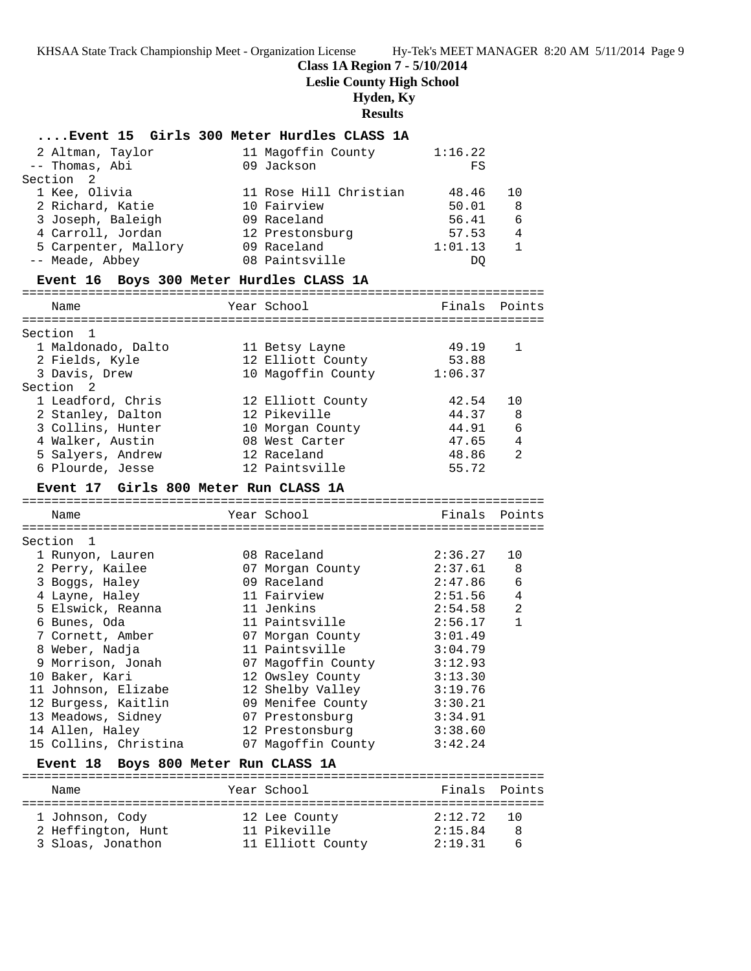# **Class 1A Region 7 - 5/10/2014**

**Leslie County High School**

# **Hyden, Ky**

**Results**

|                                          | Event 15 Girls 300 Meter Hurdles CLASS 1A         |               |                |
|------------------------------------------|---------------------------------------------------|---------------|----------------|
| 2 Altman, Taylor                         | 11 Magoffin County                                | 1:16.22       |                |
| -- Thomas, Abi                           | 09 Jackson                                        | FS            |                |
| 2<br>Section                             |                                                   |               |                |
| 1 Kee, Olivia                            | 11 Rose Hill Christian                            | 48.46         | 10             |
| 2 Richard, Katie                         | 10 Fairview                                       | 50.01         | 8              |
| 3 Joseph, Baleigh                        | 09 Raceland                                       | 56.41         | 6              |
| 4 Carroll, Jordan                        | 12 Prestonsburg                                   | 57.53         | $\overline{4}$ |
| 5 Carpenter, Mallory                     | 09 Raceland                                       | 1:01.13       | $\mathbf{1}$   |
| -- Meade, Abbey                          | 08 Paintsville                                    | DQ            |                |
| Event 16 Boys 300 Meter Hurdles CLASS 1A |                                                   |               |                |
| Name                                     | Year School                                       | Finals Points |                |
| Section 1                                |                                                   |               |                |
| 1 Maldonado, Dalto                       | 11 Betsy Layne                                    | 49.19         | $\mathbf{1}$   |
| 2 Fields, Kyle                           | 12 Elliott County                                 | 53.88         |                |
| 3 Davis, Drew                            | 10 Magoffin County 1:06.37                        |               |                |
| Section 2                                |                                                   |               |                |
| 1 Leadford, Chris                        | 12 Elliott County                                 | 42.54         | 10             |
| 2 Stanley, Dalton                        | 12 Pikeville                                      | 44.37         | 8              |
| 3 Collins, Hunter                        | 10 Morgan County                                  | 44.91         | - 6            |
| 4 Walker, Austin                         | 08 West Carter                                    | 47.65         | 4              |
| 5 Salyers, Andrew                        | 12 Raceland                                       | 48.86         | 2              |
| 6 Plourde, Jesse                         | 12 Paintsville                                    | 55.72         |                |
| Event 17 Girls 800 Meter Run CLASS 1A    |                                                   |               |                |
|                                          |                                                   |               |                |
|                                          |                                                   |               |                |
| Name                                     | Year School                                       | Finals        | Points         |
|                                          |                                                   |               |                |
| Section 1                                |                                                   |               |                |
| 1 Runyon, Lauren                         | 08 Raceland                                       | 2:36.27       | 10             |
| 2 Perry, Kailee                          | 07 Morgan County                                  | 2:37.61       | 8              |
| 3 Boggs, Haley                           | 09 Raceland                                       | 2:47.86       | 6              |
| 4 Layne, Haley                           | 11 Fairview                                       | 2:51.56       | $\overline{4}$ |
| 5 Elswick, Reanna                        | 11 Jenkins                                        | 2:54.58       | 2              |
| 6 Bunes, Oda                             | 11 Paintsville                                    | 2:56.17       | $\mathbf{1}$   |
| 7 Cornett, Amber                         | 07 Morgan County                                  | 3:01.49       |                |
| 8 Weber, Nadja                           | 11 Paintsville                                    | 3:04.79       |                |
| 9 Morrison, Jonah                        | 07 Magoffin County                                | 3:12.93       |                |
| 10 Baker, Kari                           | 12 Owsley County                                  | 3:13.30       |                |
| 11 Johnson, Elizabe                      | 12 Shelby Valley                                  | 3:19.76       |                |
| 12 Burgess, Kaitlin                      | 09 Menifee County                                 | 3:30.21       |                |
| 13 Meadows, Sidney                       | 07 Prestonsburg                                   | 3:34.91       |                |
| 14 Allen, Haley                          | 12 Prestonsburg                                   | 3:38.60       |                |
| 15 Collins, Christina<br><b>Event 18</b> | 07 Magoffin County<br>Boys 800 Meter Run CLASS 1A | 3:42.24       |                |
|                                          |                                                   |               |                |
| Name                                     | Year School                                       | Finals        | Points         |
| 1 Johnson, Cody                          | 12 Lee County                                     | 2:12.72       | 10             |
| 2 Heffington, Hunt                       | 11 Pikeville                                      | 2:15.84       | 8              |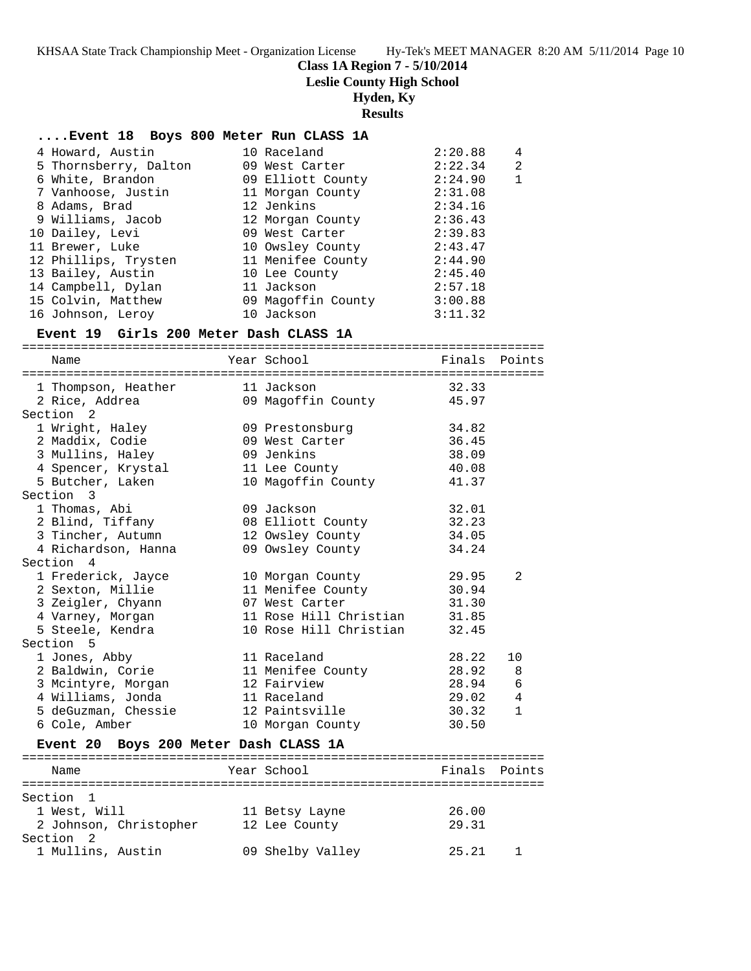**Class 1A Region 7 - 5/10/2014**

**Leslie County High School**

# **Hyden, Ky**

**Results**

| Event 18 Boys 800 Meter Run CLASS 1A |  |  |  |  |  |  |
|--------------------------------------|--|--|--|--|--|--|
|--------------------------------------|--|--|--|--|--|--|

|                                                                                                                                                                                                                                                                               | 2:20.88                                                                                                                                                                                                                                | 4            |
|-------------------------------------------------------------------------------------------------------------------------------------------------------------------------------------------------------------------------------------------------------------------------------|----------------------------------------------------------------------------------------------------------------------------------------------------------------------------------------------------------------------------------------|--------------|
|                                                                                                                                                                                                                                                                               | 2:22.34                                                                                                                                                                                                                                | 2            |
|                                                                                                                                                                                                                                                                               | 2:24.90                                                                                                                                                                                                                                | $\mathbf{1}$ |
|                                                                                                                                                                                                                                                                               | 2:31.08                                                                                                                                                                                                                                |              |
|                                                                                                                                                                                                                                                                               | 2:34.16                                                                                                                                                                                                                                |              |
|                                                                                                                                                                                                                                                                               | 2:36.43                                                                                                                                                                                                                                |              |
|                                                                                                                                                                                                                                                                               | 2:39.83                                                                                                                                                                                                                                |              |
|                                                                                                                                                                                                                                                                               | 2:43.47                                                                                                                                                                                                                                |              |
|                                                                                                                                                                                                                                                                               | 2:44.90                                                                                                                                                                                                                                |              |
|                                                                                                                                                                                                                                                                               | 2:45.40                                                                                                                                                                                                                                |              |
|                                                                                                                                                                                                                                                                               | 2:57.18                                                                                                                                                                                                                                |              |
|                                                                                                                                                                                                                                                                               | 3:00.88                                                                                                                                                                                                                                |              |
|                                                                                                                                                                                                                                                                               | 3:11.32                                                                                                                                                                                                                                |              |
| 4 Howard, Austin<br>5 Thornsberry, Dalton<br>6 White, Brandon<br>7 Vanhoose, Justin<br>8 Adams, Brad<br>9 Williams, Jacob<br>10 Dailey, Levi<br>11 Brewer, Luke<br>12 Phillips, Trysten<br>13 Bailey, Austin<br>14 Campbell, Dylan<br>15 Colvin, Matthew<br>16 Johnson, Leroy | 10 Raceland<br>09 West Carter<br>09 Elliott County<br>11 Morgan County<br>12 Jenkins<br>12 Morgan County<br>09 West Carter<br>10 Owsley County<br>11 Menifee County<br>10 Lee County<br>11 Jackson<br>09 Magoffin County<br>10 Jackson |              |

## **Event 19 Girls 200 Meter Dash CLASS 1A**

| Name                                                                           | Year School                  | Finals Points |                |
|--------------------------------------------------------------------------------|------------------------------|---------------|----------------|
|                                                                                |                              |               |                |
| 1 Thompson, Heather 11 Jackson                                                 |                              | 32.33         |                |
| 2 Rice, Addrea and 19 Magoffin County 45.97                                    |                              |               |                |
| Section <sub>2</sub>                                                           |                              |               |                |
| 1 Wright, Haley 69 Prestonsburg                                                |                              | 34.82         |                |
| 2 Maddix, Codie                         09 West Carter                         |                              | 36.45         |                |
| 3 Mullins, Haley                                                               | 09 Jenkins                   | 38.09         |                |
| 4 Spencer, Krystal 11 Lee County                                               |                              | 40.08         |                |
| 5 Butcher, Laken                                                               | 10 Magoffin County           | 41.37         |                |
| Section 3                                                                      |                              |               |                |
| 1 Thomas, Abi                                                                  | 09 Jackson                   | 32.01         |                |
| 2 Blind, Tiffany 108 Elliott County                                            |                              | 32.23         |                |
| 3 Tincher, Autumn 12 Owsley County 34.05                                       |                              |               |                |
| 4 Richardson, Hanna                                                            | 09 Owsley County             | 34.24         |                |
| Section 4                                                                      |                              |               |                |
| 1 Frederick, Jayce                                                             | 10 Morgan County 29.95       |               | $\mathfrak{D}$ |
| 2 Sexton, Millie                                                               | 11 Menifee County            | 30.94         |                |
| 3 Zeigler, Chyann                                                              | 07 West Carter 31.30         |               |                |
| 4 Varney, Morgan 11 Rose Hill Christian 31.85                                  |                              |               |                |
| 5 Steele, Kendra                                                               | 10 Rose Hill Christian 32.45 |               |                |
| Section <sub>5</sub>                                                           |                              |               |                |
| 1 Jones, Abby                                                                  | 11 Raceland                  | 28.22         | 10             |
| 2 Baldwin, Corie                 11 Menifee County                       28.92 |                              |               | 8              |
| 3 Mcintyre, Morgan                                                             | 12 Fairview                  | 28.94         | 6              |
| 4 Williams, Jonda                                                              | 11 Raceland                  | 29.02         | 4              |
| 5 deGuzman, Chessie 12 Paintsville                                             |                              | 30.32         | $\mathbf{1}$   |
| 6 Cole, Amber                                                                  | 10 Morgan County             | 30.50         |                |
| Event 20 Boys 200 Meter Dash CLASS 1A                                          |                              |               |                |
|                                                                                |                              |               |                |
|                                                                                |                              |               |                |

| Name                   | Year School      | Finals Points |
|------------------------|------------------|---------------|
| Section 1              |                  |               |
| 1 West, Will           | 11 Betsy Layne   | 26.00         |
| 2 Johnson, Christopher | 12 Lee County    | 29.31         |
| Section 2              |                  |               |
| 1 Mullins, Austin      | 09 Shelby Valley | 25.21         |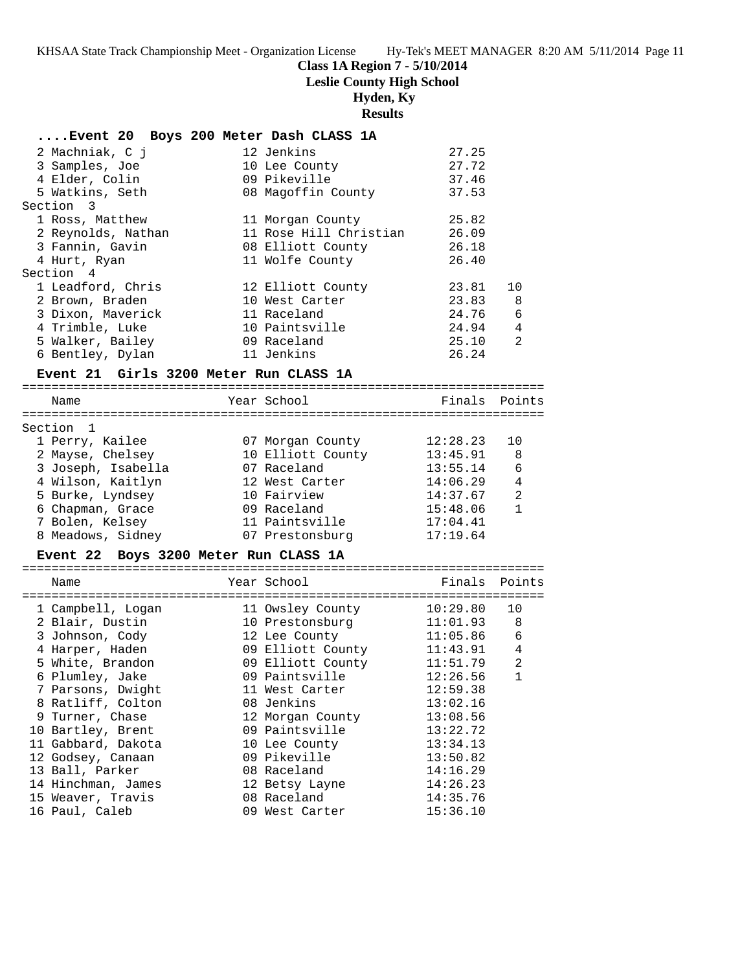# **Class 1A Region 7 - 5/10/2014**

**Leslie County High School**

# **Hyden, Ky**

# **Results**

| Event 20 Boys 200 Meter Dash CLASS 1A |                        |       |                |
|---------------------------------------|------------------------|-------|----------------|
| 2 Machniak, C i                       | 12 Jenkins             | 27.25 |                |
| 3 Samples, Joe                        | 10 Lee County          | 27.72 |                |
| 4 Elder, Colin                        | 09 Pikeville           | 37.46 |                |
| 5 Watkins, Seth                       | 08 Magoffin County     | 37.53 |                |
| Section 3                             |                        |       |                |
| 1 Ross, Matthew                       | 11 Morgan County       | 25.82 |                |
| 2 Reynolds, Nathan                    | 11 Rose Hill Christian | 26.09 |                |
| 3 Fannin, Gavin                       | 08 Elliott County      | 26.18 |                |
| 4 Hurt, Ryan                          | 11 Wolfe County        | 26.40 |                |
| Section 4                             |                        |       |                |
| 1 Leadford, Chris                     | 12 Elliott County      | 23.81 | $10^{\circ}$   |
| 2 Brown, Braden                       | 10 West Carter         | 23.83 | - 8            |
| 3 Dixon, Maverick                     | 11 Raceland            | 24.76 | 6              |
| 4 Trimble, Luke                       | 10 Paintsville         | 24.94 | $\overline{4}$ |
| 5 Walker, Bailey                      | 09 Raceland            | 25.10 | 2              |
| 6 Bentley, Dylan                      | 11 Jenkins             | 26.24 |                |

## **Event 21 Girls 3200 Meter Run CLASS 1A**

| Name               | Year School       | Finals Points |                |
|--------------------|-------------------|---------------|----------------|
|                    |                   |               |                |
| Section 1          |                   |               |                |
| 1 Perry, Kailee    | 07 Morgan County  | 12:28.23      | 1 O            |
| 2 Mayse, Chelsey   | 10 Elliott County | 13:45.91      | 8              |
| 3 Joseph, Isabella | 07 Raceland       | 13:55.14      | 6              |
| 4 Wilson, Kaitlyn  | 12 West Carter    | 14:06.29      | 4              |
| 5 Burke, Lyndsey   | 10 Fairview       | 14:37.67      | $\mathfrak{D}$ |
| 6 Chapman, Grace   | 09 Raceland       | 15:48.06      | $\mathbf{1}$   |
| 7 Bolen, Kelsey    | 11 Paintsville    | 17:04.41      |                |
| 8 Meadows, Sidney  | 07 Prestonsburg   | 17:19.64      |                |
|                    |                   |               |                |

# **Event 22 Boys 3200 Meter Run CLASS 1A**

|  | Name               |  | Year School       | Finals   | Points         |
|--|--------------------|--|-------------------|----------|----------------|
|  |                    |  |                   |          |                |
|  | 1 Campbell, Logan  |  | 11 Owsley County  | 10:29.80 | 10             |
|  | 2 Blair, Dustin    |  | 10 Prestonsburg   | 11:01.93 | 8              |
|  | 3 Johnson, Cody    |  | 12 Lee County     | 11:05.86 | 6              |
|  | 4 Harper, Haden    |  | 09 Elliott County | 11:43.91 | 4              |
|  | 5 White, Brandon   |  | 09 Elliott County | 11:51.79 | $\mathfrak{D}$ |
|  | 6 Plumley, Jake    |  | 09 Paintsville    | 12:26.56 |                |
|  | 7 Parsons, Dwight  |  | 11 West Carter    | 12:59.38 |                |
|  | 8 Ratliff, Colton  |  | 08 Jenkins        | 13:02.16 |                |
|  | 9 Turner, Chase    |  | 12 Morgan County  | 13:08.56 |                |
|  | 10 Bartley, Brent  |  | 09 Paintsville    | 13:22.72 |                |
|  | 11 Gabbard, Dakota |  | 10 Lee County     | 13:34.13 |                |
|  | 12 Godsey, Canaan  |  | 09 Pikeville      | 13:50.82 |                |
|  | 13 Ball, Parker    |  | 08 Raceland       | 14:16.29 |                |
|  | 14 Hinchman, James |  | 12 Betsy Layne    | 14:26.23 |                |
|  | 15 Weaver, Travis  |  | 08 Raceland       | 14:35.76 |                |
|  | 16 Paul, Caleb     |  | 09 West Carter    | 15:36.10 |                |
|  |                    |  |                   |          |                |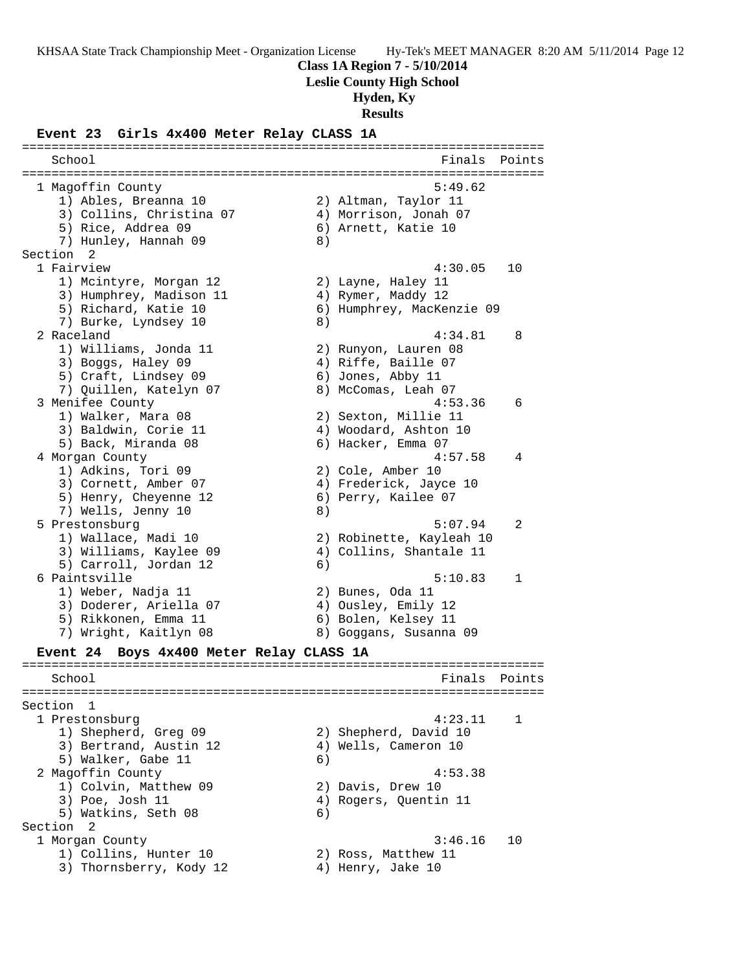**Class 1A Region 7 - 5/10/2014**

**Leslie County High School**

## **Hyden, Ky**

**Results**

### **Event 23 Girls 4x400 Meter Relay CLASS 1A**

======================================================================= School **Finals** Points **Points** ======================================================================= 1 Magoffin County 5:49.62 1) Ables, Breanna 10 2) Altman, Taylor 11 3) Collins, Christina 07 4) Morrison, Jonah 07 5) Rice, Addrea 09 6) Arnett, Katie 10 7) Hunley, Hannah 09  $\qquad \qquad 8)$ Section 2 1 Fairview 4:30.05 10 1) Mcintyre, Morgan 12 2) Layne, Haley 11 3) Humphrey, Madison 11  $\hskip1cm 4$ ) Rymer, Maddy 12 5) Richard, Katie 10 6) Humphrey, MacKenzie 09 7) Burke, Lyndsey 10 8) 2 Raceland 4:34.81 8 1) Williams, Jonda 11 2) Runyon, Lauren 08 3) Boggs, Haley 09 4) Riffe, Baille 07 5) Craft, Lindsey 09 6) Jones, Abby 11 7) Quillen, Katelyn 07 8) McComas, Leah 07 3 Menifee County 4:53.36 6 1) Walker, Mara 08 2) Sexton, Millie 11 3) Baldwin, Corie 11  $\hskip10mm$  4) Woodard, Ashton 10 5) Back, Miranda 08 6) Hacker, Emma 07 4 Morgan County 4:57.58 4 1) Adkins, Tori 09 2) Cole, Amber 10 3) Cornett, Amber 07 4) Frederick, Jayce 10 5) Henry, Cheyenne 12 6) Perry, Kailee 07 7) Wells, Jenny 10 8) 5 Prestonsburg 5:07.94 2 1) Wallace, Madi 10 2) Robinette, Kayleah 10 3) Williams, Kaylee 09 4) Collins, Shantale 11 5) Carroll, Jordan 12 (6) 6 Paintsville 5:10.83 1 1) Weber, Nadja 11 2) Bunes, Oda 11 3) Doderer, Ariella 07 4) Ousley, Emily 12 5) Rikkonen, Emma 11 6) Bolen, Kelsey 11 7) Wright, Kaitlyn 08 8) Goggans, Susanna 09 **Event 24 Boys 4x400 Meter Relay CLASS 1A** ======================================================================= School **Finals Points** ======================================================================= Section 1 1 Prestonsburg 4:23.11 1 1) Shepherd, Greg 09 2) Shepherd, David 10 3) Bertrand, Austin 12 (4) Wells, Cameron 10 5) Walker, Gabe 11 6) 2 Magoffin County **4:53.38** 1) Colvin, Matthew 09 2) Davis, Drew 10 3) Poe, Josh 11 4) Rogers, Quentin 11 5) Watkins, Seth 08 (6) Section 2<br>1 Morgan County 1 Morgan County 3:46.16 10 1) Collins, Hunter 10 (2) Ross, Matthew 11 3) Thornsberry, Kody 12  $\hskip1cm$  4) Henry, Jake 10